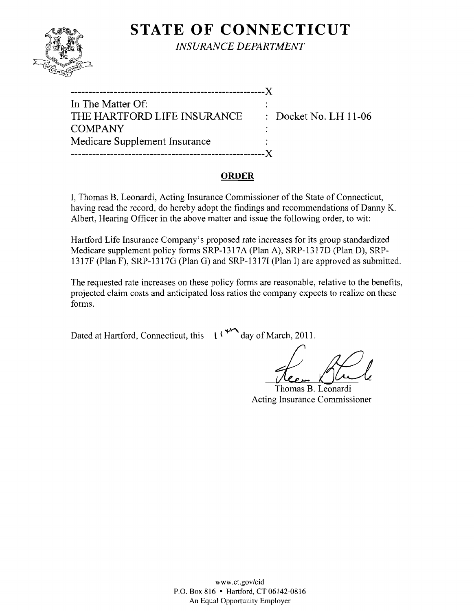

**STATE OF CONNECTICUT** *INSURANCE DEPARTMENT* 

| In The Matter Of:             |                                  |
|-------------------------------|----------------------------------|
| THE HARTFORD LIFE INSURANCE   | $\therefore$ Docket No. LH 11-06 |
| <b>COMPANY</b>                |                                  |
| Medicare Supplement Insurance |                                  |
|                               |                                  |

### **ORDER**

I, Thomas B. Leonardi, Acting Insurance Commissioner of the State of Connecticut, having read the record, do hereby adopt the findings and recommendations of Danny K. Albert, Hearing Officer in the above matter and issue the following order, to wit:

Hartford Life Insurance Company's proposed rate increases for its group standardized Medicare supplement policy forms SRP-1317A (Plan A), SRP-1317D (Plan D), SRP-1317F (Plan F), SRP-1317G (Plan G) and SRP-13171 (Plan I) are approved as submitted.

The requested rate increases on these policy forms are reasonable, relative to the benefits, projected claim costs and anticipated loss ratios the company expects to realize on these forms.

Dated at Hartford, Connecticut, this  $\iota^{\mathcal{H}}$  day of March, 2011.

decembre 2011.<br>Heem Stule

Thomas B. Leonardi Acting Insurance Commissioner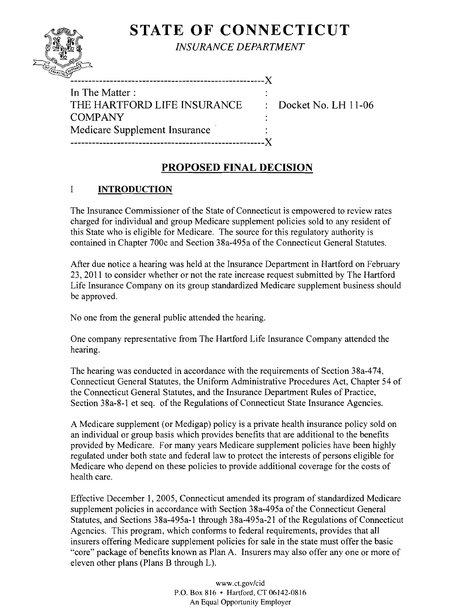# **STATE OF CONNECTICUT**



*INSURANCE DEPARTMENT* 

| -----------                   |  |
|-------------------------------|--|
| In The Matter:                |  |
| THE HARTFORD LIFE INSURANCE   |  |
| <b>COMPANY</b>                |  |
| Medicare Supplement Insurance |  |
|                               |  |

Docket No. LH 11-06

# **PROPOSED FINAL DECISION**

## I **INTRODUCTION**

The Insurance Commissioner of the State of Connecticut is empowered to review rates charged for individual and group Medicare supplement policies sold to any resident of this State who is eligible for Medicare. The source for this regulatory authority is contained in Chapter 700c and Section 38a-495a of the Connecticut General Statutes.

After due notice a hearing was held at the Insurance Department in Hartford on February 23,2011 to consider whether or not the rate increase request submitted by The Hartford Life Insurance Company on its group standardized Medicare supplement business should be approved.

No one from the general public attended the hearing.

One company representative from The Hartford Life Insurance Company attended the hearing.

The hearing was conducted in accordance with the requirements of Section 38a-474, Connecticut General Statutes, the Uniform Administrative Procedures Act, Chapter 54 of the Connecticut General Statutes, and the Insurance Department Rules of Practice, Section 38a-8-1 et seq. of the Regulations of Connecticut State Insurance Agencies.

A Medicare supplement (or Medigap) policy is a private health insurance policy sold on an individual or group basis which provides benefits that are additional to the benefits provided by Medicare. For many years Medicare supplement policies have been highly regulated under both state and federal law to protect the interests of persons eligible for Medicare who depend on these policies to provide additional coverage for the costs of health care.

Effective December 1,2005, Connecticut amended its program of standardized Medicare supplement policies in accordance with Section 38a-495a of the Connecticut General Statutes, and Sections 38a-495a-1 through 38a-495a-21 of the Regulations of Connecticut Agencies. This program, which conforms to federal requirements, provides that all insurers offering Medicare supplement policies for sale in the state must offer the basic "core" package of benefits known as Plan A. Insurers may also offer anyone or more of eleven other plans (Plans B through L).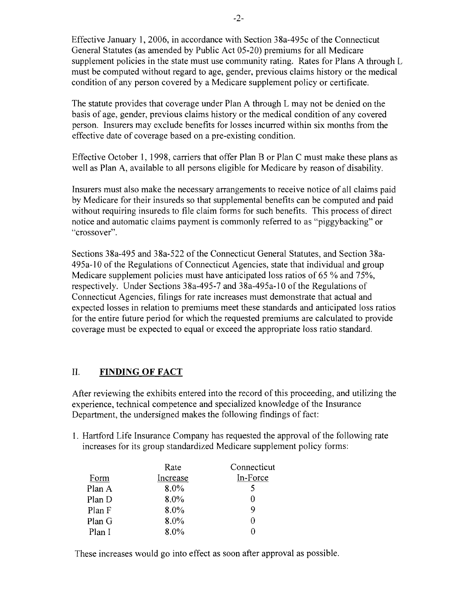Effective January **1,2006,** in accordance with Section 38a-495c of the Connecticut General Statutes (as amended by Public Act 05-20) premiums for all Medicare supplement policies in the state must use community rating. Rates for Plans A through L must be computed without regard to age, gender, previous claims history or the medical condition of any person covered by a Medicare supplement policy or certificate.

The statute provides that coverage under Plan A through L may not be denied on the basis of age, gender, previous claims history or the medical condition of any covered person. Insurers may exclude benefits for losses incurred within six months from the effective date of coverage based on a pre-existing condition.

Effective October I, 1998, carriers that offer Plan B or Plan C must make these plans as well as Plan A, available to all persons eligible for Medicare by reason of disability.

Insurers must also make the necessary arrangements to receive notice of all claims paid by Medicare for their insureds so that supplemental benefits can be computed and paid without requiring insureds to file claim forms for such benefits. This process of direct notice and automatic claims payment is commonly referred to as "piggybacking" or "crossover".

Sections 38a-495 and 38a-522 of the Connecticut General Statutes, and Section 38a-495a-IO of the Regulations of Connecticut Agencies, state that individual and group Medicare supplement policies must have anticipated loss ratios of 65 % and 75%. respectively. Under Sections 38a-495-7 and 38a-495a-IO of the Regulations of Connecticut Agencies, filings for rate increases must demonstrate that actual and expected losses in relation to premiums meet these standards and anticipated loss ratios for the entire future period for which the requested premiums are calculated to provide coverage must be expected to equal or exceed the appropriate loss ratio standard.

### **II. FINDING OF FACT**

After reviewing the exhibits entered into the record of this proceeding, and utilizing the experience, technical competence and specialized knowledge of the Insurance Department, the undersigned makes the following findings of fact:

1. Hartford Life Insurance Company has requested the approval of the following rate increases for its group standardized Medicare supplement policy forms:

| Rate     | Connecticut |
|----------|-------------|
| Increase | In-Force    |
| 8.0%     |             |
| 8.0%     |             |
| $8.0\%$  |             |
| $8.0\%$  |             |
| 8.0%     |             |
|          |             |

These increases would go into effect as soon after approval as possible.